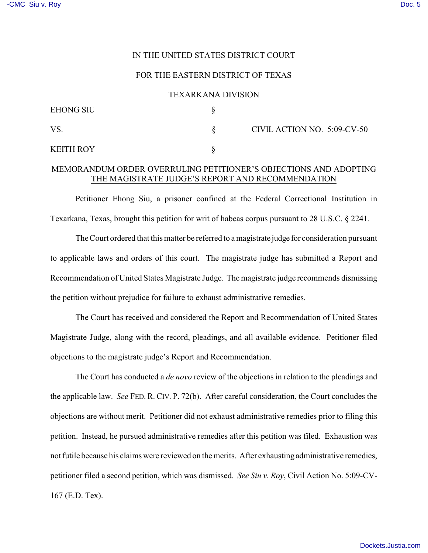## IN THE UNITED STATES DISTRICT COURT

## FOR THE EASTERN DISTRICT OF TEXAS

#### TEXARKANA DIVISION

| <b>EHONG SIU</b> |                             |
|------------------|-----------------------------|
| VS.              | CIVIL ACTION NO. 5:09-CV-50 |
| <b>KEITH ROY</b> |                             |

# MEMORANDUM ORDER OVERRULING PETITIONER'S OBJECTIONS AND ADOPTING THE MAGISTRATE JUDGE'S REPORT AND RECOMMENDATION

Petitioner Ehong Siu, a prisoner confined at the Federal Correctional Institution in Texarkana, Texas, brought this petition for writ of habeas corpus pursuant to 28 U.S.C. § 2241.

The Court ordered that this matter be referred to a magistrate judge for consideration pursuant to applicable laws and orders of this court. The magistrate judge has submitted a Report and Recommendation of United States Magistrate Judge. The magistrate judge recommends dismissing the petition without prejudice for failure to exhaust administrative remedies.

The Court has received and considered the Report and Recommendation of United States Magistrate Judge, along with the record, pleadings, and all available evidence. Petitioner filed objections to the magistrate judge's Report and Recommendation.

The Court has conducted a *de novo* review of the objections in relation to the pleadings and the applicable law. *See* FED. R. CIV. P. 72(b). After careful consideration, the Court concludes the objections are without merit. Petitioner did not exhaust administrative remedies prior to filing this petition. Instead, he pursued administrative remedies after this petition was filed. Exhaustion was not futile because his claims were reviewed on the merits. After exhausting administrative remedies, petitioner filed a second petition, which was dismissed. *See Siu v. Roy*, Civil Action No. 5:09-CV-167 (E.D. Tex).